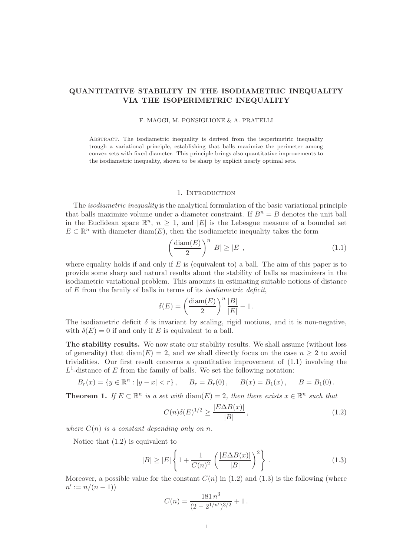# QUANTITATIVE STABILITY IN THE ISODIAMETRIC INEQUALITY VIA THE ISOPERIMETRIC INEQUALITY

## F. MAGGI, M. PONSIGLIONE & A. PRATELLI

Abstract. The isodiametric inequality is derived from the isoperimetric inequality trough a variational principle, establishing that balls maximize the perimeter among convex sets with fixed diameter. This principle brings also quantitative improvements to the isodiametric inequality, shown to be sharp by explicit nearly optimal sets.

## 1. Introduction

The *isodiametric inequality* is the analytical formulation of the basic variational principle that balls maximize volume under a diameter constraint. If  $B^n = B$  denotes the unit ball in the Euclidean space  $\mathbb{R}^n$ ,  $n \geq 1$ , and  $|E|$  is the Lebesgue measure of a bounded set  $E \subset \mathbb{R}^n$  with diameter  $\text{diam}(E)$ , then the isodiametric inequality takes the form

$$
\left(\frac{\text{diam}(E)}{2}\right)^n |B| \ge |E| \,,\tag{1.1}
$$

where equality holds if and only if  $E$  is (equivalent to) a ball. The aim of this paper is to provide some sharp and natural results about the stability of balls as maximizers in the isodiametric variational problem. This amounts in estimating suitable notions of distance of E from the family of balls in terms of its *isodiametric deficit*,

$$
\delta(E) = \left(\frac{\text{diam}(E)}{2}\right)^n \frac{|B|}{|E|} - 1.
$$

The isodiametric deficit  $\delta$  is invariant by scaling, rigid motions, and it is non-negative, with  $\delta(E) = 0$  if and only if E is equivalent to a ball.

The stability results. We now state our stability results. We shall assume (without loss of generality) that  $\text{diam}(E) = 2$ , and we shall directly focus on the case  $n \geq 2$  to avoid trivialities. Our first result concerns a quantitative improvement of (1.1) involving the  $L^1$ -distance of E from the family of balls. We set the following notation:

$$
B_r(x) = \{y \in \mathbb{R}^n : |y - x| < r\}, \quad B_r = B_r(0), \quad B(x) = B_1(x), \quad B = B_1(0).
$$

**Theorem 1.** *If*  $E \subset \mathbb{R}^n$  *is a set with* diam( $E$ ) = 2*, then there exists*  $x \in \mathbb{R}^n$  *such that* 

$$
C(n)\delta(E)^{1/2} \ge \frac{|E\Delta B(x)|}{|B|},\tag{1.2}
$$

*where*  $C(n)$  *is a constant depending only on n.* 

Notice that (1.2) is equivalent to

$$
|B| \ge |E| \left\{ 1 + \frac{1}{C(n)^2} \left( \frac{|E \Delta B(x)|}{|B|} \right)^2 \right\}.
$$
 (1.3)

Moreover, a possible value for the constant  $C(n)$  in (1.2) and (1.3) is the following (where  $n' := n/(n - 1)$ 

$$
C(n) = \frac{181 n^3}{(2 - 2^{1/n'})^{3/2}} + 1.
$$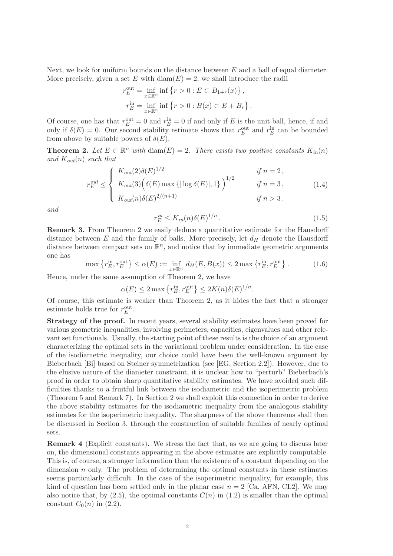Next, we look for uniform bounds on the distance between  $E$  and a ball of equal diameter. More precisely, given a set E with  $\text{diam}(E) = 2$ , we shall introduce the radii

$$
r_E^{\text{out}} = \inf_{x \in \mathbb{R}^n} \inf \{ r > 0 : E \subset B_{1+r}(x) \},
$$
  

$$
r_E^{\text{in}} = \inf_{x \in \mathbb{R}^n} \inf \{ r > 0 : B(x) \subset E + B_r \}.
$$

Of course, one has that  $r_E^{\text{out}} = 0$  and  $r_E^{\text{in}} = 0$  if and only if E is the unit ball, hence, if and only if  $\delta(E) = 0$ . Our second stability estimate shows that  $r_E^{\text{out}}$  and  $r_E^{\text{in}}$  can be bounded from above by suitable powers of  $\delta(E)$ .

**Theorem 2.** Let  $E \subset \mathbb{R}^n$  with  $\text{diam}(E) = 2$ . There exists two positive constants  $K_{in}(n)$ and  $K_{out}(n)$  *such that* 

$$
r_E^{out} \leq \begin{cases} K_{out}(2)\delta(E)^{1/2} & \text{if } n = 2 \,, \\ K_{out}(3)\Big(\delta(E) \max\{|\log \delta(E)|, 1\}\Big)^{1/2} & \text{if } n = 3 \,, \\ K_{out}(n)\delta(E)^{2/(n+1)} & \text{if } n > 3 \,. \end{cases} \tag{1.4}
$$

*and*

$$
r_E^{in} \le K_{in}(n)\delta(E)^{1/n} \,. \tag{1.5}
$$

Remark 3. From Theorem 2 we easily deduce a quantitative estimate for the Hausdorff distance between  $E$  and the family of balls. More precisely, let  $d_H$  denote the Hausdorff distance between compact sets on  $\mathbb{R}^n$ , and notice that by immediate geometric arguments one has

$$
\max\left\{r_E^{\text{in}}, r_E^{\text{out}}\right\} \le \alpha(E) := \inf_{x \in \mathbb{R}^n} d_H(E, B(x)) \le 2 \max\left\{r_E^{\text{in}}, r_E^{\text{out}}\right\}.
$$
 (1.6)

Hence, under the same assumption of Theorem 2, we have

$$
\alpha(E) \le 2 \max \left\{ r_E^{\text{in}}, r_E^{\text{out}} \right\} \le 2K(n)\delta(E)^{1/n}.
$$

Of course, this estimate is weaker than Theorem 2, as it hides the fact that a stronger estimate holds true for  $r_E^{\text{out}}$ .

Strategy of the proof. In recent years, several stability estimates have been proved for various geometric inequalities, involving perimeters, capacities, eigenvalues and other relevant set functionals. Usually, the starting point of these results is the choice of an argument characterizing the optimal sets in the variational problem under consideration. In the case of the isodiametric inequality, our choice could have been the well-known argument by Bieberbach [Bi] based on Steiner symmetrization (see [EG, Section 2.2]). However, due to the elusive nature of the diameter constraint, it is unclear how to "perturb" Bieberbach's proof in order to obtain sharp quantitative stability estimates. We have avoided such difficulties thanks to a fruitful link between the isodiametric and the isoperimetric problem (Theorem 5 and Remark 7). In Section 2 we shall exploit this connection in order to derive the above stability estimates for the isodiametric inequality from the analogous stability estimates for the isoperimetric inequality. The sharpness of the above theorems shall then be discussed in Section 3, through the construction of suitable families of nearly optimal sets.

Remark 4 (Explicit constants). We stress the fact that, as we are going to discuss later on, the dimensional constants appearing in the above estimates are explicitly computable. This is, of course, a stronger information than the existence of a constant depending on the dimension  $n$  only. The problem of determining the optimal constants in these estimates seems particularly difficult. In the case of the isoperimetric inequality, for example, this kind of question has been settled only in the planar case  $n = 2$  [Ca, AFN, CL2]. We may also notice that, by  $(2.5)$ , the optimal constants  $C(n)$  in  $(1.2)$  is smaller than the optimal constant  $C_0(n)$  in (2.2).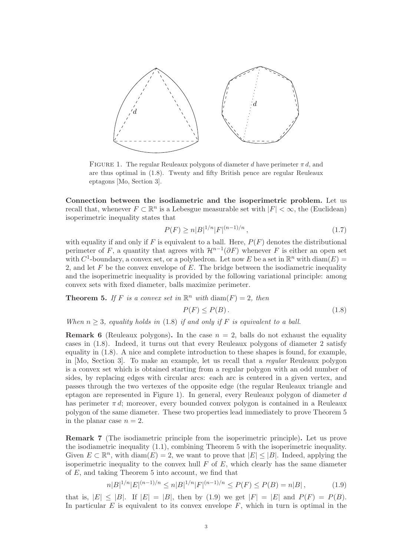

FIGURE 1. The regular Reuleaux polygons of diameter d have perimeter  $\pi d$ , and are thus optimal in (1.8). Twenty and fifty British pence are regular Reuleaux eptagons [Mo, Section 3].

Connection between the isodiametric and the isoperimetric problem. Let us recall that, whenever  $F \subset \mathbb{R}^n$  is a Lebesgue measurable set with  $|F| < \infty$ , the (Euclidean) isoperimetric inequality states that

$$
P(F) \ge n|B|^{1/n}|F|^{(n-1)/n},\tag{1.7}
$$

with equality if and only if F is equivalent to a ball. Here,  $P(F)$  denotes the distributional perimeter of F, a quantity that agrees with  $\mathcal{H}^{n-1}(\partial F)$  whenever F is either an open set with  $C^1$ -boundary, a convex set, or a polyhedron. Let now E be a set in  $\mathbb{R}^n$  with  $\text{diam}(E)$  = 2, and let  $F$  be the convex envelope of  $E$ . The bridge between the isodiametric inequality and the isoperimetric inequality is provided by the following variational principle: among convex sets with fixed diameter, balls maximize perimeter.

**Theorem 5.** If F is a convex set in  $\mathbb{R}^n$  with  $\text{diam}(F) = 2$ , then

$$
P(F) \le P(B). \tag{1.8}
$$

*When*  $n > 3$ *, equality holds in* (1.8) *if and only if* F *is equivalent to a ball.* 

**Remark 6** (Reuleaux polygons). In the case  $n = 2$ , balls do not exhaust the equality cases in (1.8). Indeed, it turns out that every Reuleaux polygons of diameter 2 satisfy equality in (1.8). A nice and complete introduction to these shapes is found, for example, in [Mo, Section 3]. To make an example, let us recall that a *regular* Reuleaux polygon is a convex set which is obtained starting from a regular polygon with an odd number of sides, by replacing edges with circular arcs: each arc is centered in a given vertex, and passes through the two vertexes of the opposite edge (the regular Reuleaux triangle and eptagon are represented in Figure 1). In general, every Reuleaux polygon of diameter d has perimeter  $\pi d$ ; moreover, every bounded convex polygon is contained in a Reuleaux polygon of the same diameter. These two properties lead immediately to prove Theorem 5 in the planar case  $n = 2$ .

Remark 7 (The isodiametric principle from the isoperimetric principle). Let us prove the isodiametric inequality (1.1), combining Theorem 5 with the isoperimetric inequality. Given  $E \subset \mathbb{R}^n$ , with  $\text{diam}(E) = 2$ , we want to prove that  $|E| \leq |B|$ . Indeed, applying the isoperimetric inequality to the convex hull  $F$  of  $E$ , which clearly has the same diameter of E, and taking Theorem 5 into account, we find that

$$
n|B|^{1/n}|E|^{(n-1)/n} \le n|B|^{1/n}|F|^{(n-1)/n} \le P(F) \le P(B) = n|B|,
$$
\n(1.9)

that is,  $|E| \leq |B|$ . If  $|E| = |B|$ , then by (1.9) we get  $|F| = |E|$  and  $P(F) = P(B)$ . In particular  $E$  is equivalent to its convex envelope  $F$ , which in turn is optimal in the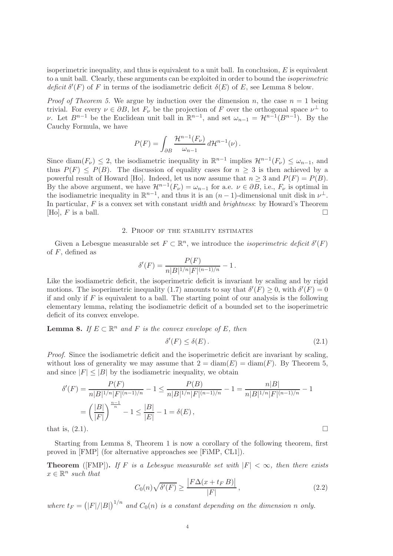isoperimetric inequality, and thus is equivalent to a unit ball. In conclusion,  $E$  is equivalent to a unit ball. Clearly, these arguments can be exploited in order to bound the *isoperimetric deficit*  $\delta'(F)$  of F in terms of the isodiametric deficit  $\delta(E)$  of E, see Lemma 8 below.

*Proof of Theorem 5.* We argue by induction over the dimension n, the case  $n = 1$  being trivial. For every  $\nu \in \partial B$ , let  $F_{\nu}$  be the projection of F over the orthogonal space  $\nu^{\perp}$  to v. Let  $B^{n-1}$  be the Euclidean unit ball in  $\mathbb{R}^{n-1}$ , and set  $\omega_{n-1} = \mathcal{H}^{n-1}(B^{n-1})$ . By the Cauchy Formula, we have

$$
P(F) = \int_{\partial B} \frac{\mathcal{H}^{n-1}(F_{\nu})}{\omega_{n-1}} d\mathcal{H}^{n-1}(\nu).
$$

Since  $\text{diam}(F_\nu) \leq 2$ , the isodiametric inequality in  $\mathbb{R}^{n-1}$  implies  $\mathcal{H}^{n-1}(F_\nu) \leq \omega_{n-1}$ , and thus  $P(F) \leq P(B)$ . The discussion of equality cases for  $n \geq 3$  is then achieved by a powerful result of Howard [Ho]. Indeed, let us now assume that  $n \geq 3$  and  $P(F) = P(B)$ . By the above argument, we have  $\mathcal{H}^{n-1}(F_{\nu}) = \omega_{n-1}$  for a.e.  $\nu \in \partial B$ , i.e.,  $F_{\nu}$  is optimal in the isodiametric inequality in  $\mathbb{R}^{n-1}$ , and thus it is an  $(n-1)$ -dimensional unit disk in  $\nu^{\perp}$ . In particular, F is a convex set with constant *width* and *brightness*: by Howard's Theorem [Ho],  $F$  is a ball.

### 2. Proof of the stability estimates

Given a Lebesgue measurable set  $F \subset \mathbb{R}^n$ , we introduce the *isoperimetric deficit*  $\delta'(F)$ of  $F$ , defined as

$$
\delta'(F) = \frac{P(F)}{n|B|^{1/n}|F|^{(n-1)/n}} - 1.
$$

Like the isodiametric deficit, the isoperimetric deficit is invariant by scaling and by rigid motions. The isoperimetric inequality (1.7) amounts to say that  $\delta'(F) \geq 0$ , with  $\delta'(F) = 0$ if and only if  $F$  is equivalent to a ball. The starting point of our analysis is the following elementary lemma, relating the isodiametric deficit of a bounded set to the isoperimetric deficit of its convex envelope.

**Lemma 8.** *If*  $E \subset \mathbb{R}^n$  *and*  $F$  *is the convex envelope of*  $E$ *, then* 

$$
\delta'(F) \le \delta(E). \tag{2.1}
$$

*Proof.* Since the isodiametric deficit and the isoperimetric deficit are invariant by scaling, without loss of generality we may assume that  $2 = \text{diam}(E) = \text{diam}(F)$ . By Theorem 5, and since  $|F| \leq |B|$  by the isodiametric inequality, we obtain

$$
\delta'(F) = \frac{P(F)}{n|B|^{1/n}|F|^{(n-1)/n}} - 1 \le \frac{P(B)}{n|B|^{1/n}|F|^{(n-1)/n}} - 1 = \frac{n|B|}{n|B|^{1/n}|F|^{(n-1)/n}} - 1
$$

$$
= \left(\frac{|B|}{|F|}\right)^{\frac{n-1}{n}} - 1 \le \frac{|B|}{|E|} - 1 = \delta(E),
$$
that is, (2.1).

Starting from Lemma 8, Theorem 1 is now a corollary of the following theorem, first proved in [FMP] (for alternative approaches see [FiMP, CL1]).

**Theorem** ([FMP]). *If* F *is a Lebesgue measurable set with*  $|F| < \infty$ *, then there exists*  $x \in \mathbb{R}^n$  such that

$$
C_0(n)\sqrt{\delta'(F)} \ge \frac{\left|F\Delta(x+t_F B)\right|}{|F|},\tag{2.2}
$$

where  $t_F = (|F|/|B|)^{1/n}$  and  $C_0(n)$  is a constant depending on the dimension n only.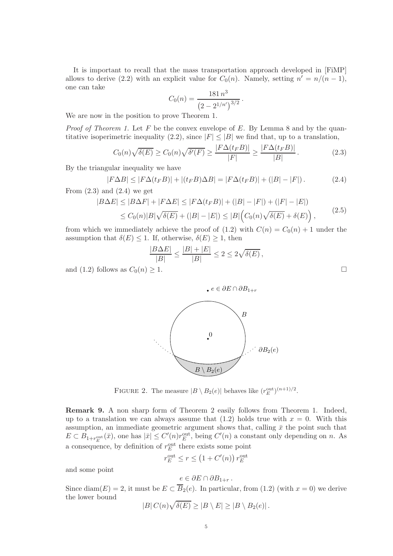It is important to recall that the mass transportation approach developed in [FiMP] allows to derive (2.2) with an explicit value for  $C_0(n)$ . Namely, setting  $n' = n/(n-1)$ , one can take

$$
C_0(n) = \frac{181 n^3}{\left(2 - 2^{1/n'}\right)^{3/2}}.
$$

We are now in the position to prove Theorem 1.

*Proof of Theorem 1.* Let F be the convex envelope of E. By Lemma 8 and by the quantitative isoperimetric inequality (2.2), since  $|F| \leq |B|$  we find that, up to a translation,

$$
C_0(n)\sqrt{\delta(E)} \ge C_0(n)\sqrt{\delta'(F)} \ge \frac{|F\Delta(t_F B)|}{|F|} \ge \frac{|F\Delta(t_F B)|}{|B|}.
$$
 (2.3)

By the triangular inequality we have

$$
|F\Delta B| \le |F\Delta(t_F B)| + |(t_F B)\Delta B| = |F\Delta(t_F B)| + (|B| - |F|).
$$
 (2.4)

From  $(2.3)$  and  $(2.4)$  we get

$$
|B\Delta E| \le |B\Delta F| + |F\Delta E| \le |F\Delta(t_F B)| + (|B| - |F|) + (|F| - |E|)
$$
  
\n
$$
\le C_0(n)|B|\sqrt{\delta(E)} + (|B| - |E|) \le |B|\Big(C_0(n)\sqrt{\delta(E)} + \delta(E)\Big),
$$
\n(2.5)

from which we immediately achieve the proof of  $(1.2)$  with  $C(n) = C_0(n) + 1$  under the assumption that  $\delta(E) \leq 1$ . If, otherwise,  $\delta(E) \geq 1$ , then

$$
\frac{|B\Delta E|}{|B|} \le \frac{|B| + |E|}{|B|} \le 2 \le 2\sqrt{\delta(E)},
$$

and (1.2) follows as  $C_0(n) \geq 1$ .



FIGURE 2. The measure  $|B \setminus B_2(e)|$  behaves like  $(r_E^{\text{out}})^{(n+1)/2}$ .

Remark 9. A non sharp form of Theorem 2 easily follows from Theorem 1. Indeed, up to a translation we can always assume that  $(1.2)$  holds true with  $x = 0$ . With this assumption, an immediate geometric argument shows that, calling  $\bar{x}$  the point such that  $E \subset B_{1+r_E^{\text{out}}}(\bar{x})$ , one has  $|\bar{x}| \leq C'(n)r_E^{\text{out}}$ , being  $C'(n)$  a constant only depending on n. As a consequence, by definition of  $r_E^{\text{out}}$  there exists some point

$$
r_E^{\text{out}} \le r \le \left(1 + C'(n)\right) r_E^{\text{out}}
$$

and some point

$$
e\in \partial E\cap \partial B_{1+r}.
$$

Since diam(E) = 2, it must be  $E \subset B_2(e)$ . In particular, from (1.2) (with  $x = 0$ ) we derive the lower bound

$$
|B| C(n) \sqrt{\delta(E)} \ge |B \setminus E| \ge |B \setminus B_2(e)|.
$$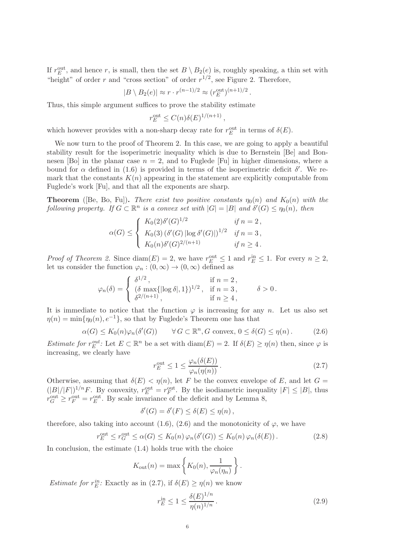If  $r_E^{\text{out}}$ , and hence r, is small, then the set  $B \setminus B_2(e)$  is, roughly speaking, a thin set with "height" of order r and "cross section" of order  $r^{1/2}$ , see Figure 2. Therefore,

$$
|B \setminus B_2(e)| \approx r \cdot r^{(n-1)/2} \approx (r_E^{\text{out}})^{(n+1)/2}.
$$

Thus, this simple argument suffices to prove the stability estimate

$$
r_E^{\text{out}} \le C(n)\delta(E)^{1/(n+1)}
$$

,

which however provides with a non-sharp decay rate for  $r_E^{\text{out}}$  in terms of  $\delta(E)$ .

We now turn to the proof of Theorem 2. In this case, we are going to apply a beautiful stability result for the isoperimetric inequality which is due to Bernstein [Be] and Bonnesen [Bo] in the planar case  $n = 2$ , and to Fuglede [Fu] in higher dimensions, where a bound for  $\alpha$  defined in (1.6) is provided in terms of the isoperimetric deficit  $\delta'$ . We remark that the constants  $K(n)$  appearing in the statement are explicitly computable from Fuglede's work [Fu], and that all the exponents are sharp.

**Theorem** ([Be, Bo, Fu]). *There exist two positive constants*  $\eta_0(n)$  *and*  $K_0(n)$  *with the following property.* If  $G \subset \mathbb{R}^n$  is a convex set with  $|G| = |B|$  and  $\delta'(G) \leq \eta_0(n)$ , then

$$
\alpha(G) \leq \begin{cases} K_0(2)\delta'(G)^{1/2} & \text{if } n = 2, \\ K_0(3) \left( \delta'(G) \left| \log \delta'(G) \right| \right)^{1/2} & \text{if } n = 3, \\ K_0(n)\delta'(G)^{2/(n+1)} & \text{if } n \geq 4. \end{cases}
$$

*Proof of Theorem 2.* Since  $\text{diam}(E) = 2$ , we have  $r_E^{\text{out}} \leq 1$  and  $r_E^{\text{in}} \leq 1$ . For every  $n \geq 2$ , let us consider the function  $\varphi_n : (0, \infty) \to (0, \infty)$  defined as

$$
\varphi_n(\delta) = \begin{cases}\n\delta^{1/2}, & \text{if } n = 2, \\
(\delta \max\{|\log \delta|, 1\})^{1/2}, & \text{if } n = 3, \\
\delta^{2/(n+1)}, & \text{if } n \ge 4,\n\end{cases} \quad \delta > 0.
$$

It is immediate to notice that the function  $\varphi$  is increasing for any n. Let us also set  $\eta(n) = \min{\{\eta_0(n), e^{-1}\}}$ , so that by Fuglede's Theorem one has that

$$
\alpha(G) \le K_0(n)\varphi_n(\delta'(G)) \qquad \forall G \subset \mathbb{R}^n, G \text{ convex}, 0 \le \delta(G) \le \eta(n). \tag{2.6}
$$

*Estimate for*  $r_E^{out}$  $E^{out}_{E}$ : Let  $E \subset \mathbb{R}^{n}$  be a set with  $\text{diam}(E) = 2$ . If  $\delta(E) \ge \eta(n)$  then, since  $\varphi$  is increasing, we clearly have

$$
r_E^{\text{out}} \le 1 \le \frac{\varphi_n(\delta(E))}{\varphi_n(\eta(n))} \,. \tag{2.7}
$$

Otherwise, assuming that  $\delta(E) < \eta(n)$ , let F be the convex envelope of E, and let G =  $(|B|/|F|)^{1/n}F$ . By convexity,  $r_E^{\text{out}} = r_F^{\text{out}}$ . By the isodiametric inequality  $|F| \leq |B|$ , thus  $r_G^{\text{out}} \geq r_F^{\text{out}} = r_E^{\text{out}}$ . By scale invariance of the deficit and by Lemma 8,

$$
\delta'(G) = \delta'(F) \le \delta(E) \le \eta(n),
$$

therefore, also taking into account (1.6), (2.6) and the monotonicity of  $\varphi$ , we have

$$
r_E^{\text{out}} \le r_G^{\text{out}} \le \alpha(G) \le K_0(n) \varphi_n(\delta'(G)) \le K_0(n) \varphi_n(\delta(E)). \tag{2.8}
$$

In conclusion, the estimate (1.4) holds true with the choice

$$
K_{\text{out}}(n) = \max \left\{ K_0(n), \frac{1}{\varphi_n(\eta_n)} \right\}.
$$

Estimate for  $r_E^{in}$  $E^i$ : Exactly as in (2.7), if  $\delta(E) \geq \eta(n)$  we know

$$
r_E^{\text{in}} \le 1 \le \frac{\delta(E)^{1/n}}{\eta(n)^{1/n}}.
$$
\n(2.9)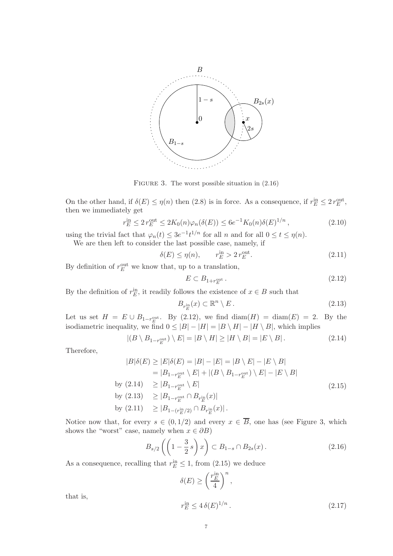

FIGURE 3. The worst possible situation in  $(2.16)$ 

On the other hand, if  $\delta(E) \le \eta(n)$  then (2.8) is in force. As a consequence, if  $r_E^{\text{in}} \le 2 r_E^{\text{out}}$ , then we immediately get

$$
r_E^{\text{in}} \le 2 r_E^{\text{out}} \le 2K_0(n)\varphi_n(\delta(E)) \le 6e^{-1}K_0(n)\delta(E)^{1/n},\tag{2.10}
$$

using the trivial fact that  $\varphi_n(t) \leq 3e^{-1}t^{1/n}$  for all n and for all  $0 \leq t \leq \eta(n)$ . We are then left to consider the last possible case, namely, if

$$
\delta(E) \le \eta(n), \qquad r_E^{\text{in}} > 2 r_E^{\text{out}}.\tag{2.11}
$$

By definition of  $r_E^{\text{out}}$  we know that, up to a translation,

$$
E \subset B_{1+r_E^{\text{out}}} \,. \tag{2.12}
$$

By the definition of  $r_E^{\text{in}}$ , it readily follows the existence of  $x \in B$  such that

$$
B_{r_E^{\text{in}}}(x) \subset \mathbb{R}^n \setminus E. \tag{2.13}
$$

Let us set  $H = E \cup B_{1-r_E^{\text{out}}}$ . By (2.12), we find  $\text{diam}(H) = \text{diam}(E) = 2$ . By the isodiametric inequality, we find  $0 \leq |B| - |H| = |B \setminus H| - |H \setminus B|$ , which implies

$$
|(B \setminus B_{1-r_E^{\text{out}}}) \setminus E| = |B \setminus H| \ge |H \setminus B| = |E \setminus B|.
$$
 (2.14)

Therefore,

$$
|B|\delta(E) \ge |E|\delta(E) = |B| - |E| = |B \setminus E| - |E \setminus B|
$$
  
\n
$$
= |B_{1-r_{E}^{\text{out}}} \setminus E| + |(B \setminus B_{1-r_{E}^{\text{out}}}) \setminus E| - |E \setminus B|
$$
  
\nby (2.14) 
$$
\ge |B_{1-r_{E}^{\text{out}}} \setminus E|
$$
  
\nby (2.13) 
$$
\ge |B_{1-r_{E}^{\text{out}}} \cap B_{r_{E}^{\text{in}}}(x)|
$$
  
\nby (2.11) 
$$
\ge |B_{1-(r_{E}^{\text{in}}/2)} \cap B_{r_{E}^{\text{in}}}(x)|.
$$
 (2.12)

Notice now that, for every  $s \in (0, 1/2)$  and every  $x \in \overline{B}$ , one has (see Figure 3, which shows the "worst" case, namely when  $x \in \partial B$ )

$$
B_{s/2}\left(\left(1-\frac{3}{2}s\right)x\right) \subset B_{1-s} \cap B_{2s}(x). \tag{2.16}
$$

As a consequence, recalling that  $r_E^{\text{in}} \leq 1$ , from (2.15) we deduce

$$
\delta(E) \ge \left(\frac{r_E^{\text{in}}}{4}\right)^n,
$$

that is,

$$
r_E^{\text{in}} \le 4\,\delta(E)^{1/n} \,. \tag{2.17}
$$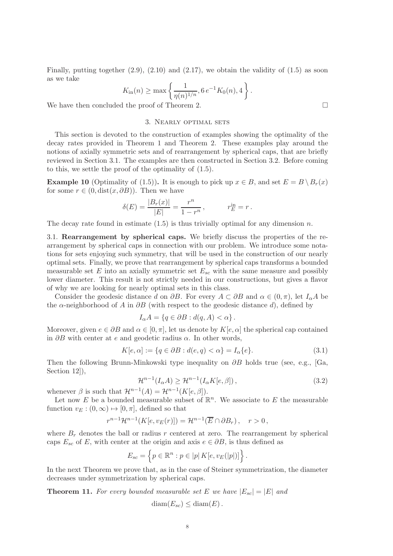Finally, putting together  $(2.9)$ ,  $(2.10)$  and  $(2.17)$ , we obtain the validity of  $(1.5)$  as soon as we take

$$
K_{\text{in}}(n) \ge \max\left\{\frac{1}{\eta(n)^{1/n}}, 6 e^{-1} K_0(n), 4\right\}.
$$

We have then concluded the proof of Theorem 2.

### 3. Nearly optimal sets

This section is devoted to the construction of examples showing the optimality of the decay rates provided in Theorem 1 and Theorem 2. These examples play around the notions of axially symmetric sets and of rearrangement by spherical caps, that are briefly reviewed in Section 3.1. The examples are then constructed in Section 3.2. Before coming to this, we settle the proof of the optimality of (1.5).

**Example 10** (Optimality of (1.5)). It is enough to pick up  $x \in B$ , and set  $E = B \setminus B_r(x)$ for some  $r \in (0, dist(x, \partial B))$ . Then we have

$$
\delta(E) = \frac{|B_r(x)|}{|E|} = \frac{r^n}{1 - r^n}, \qquad r_E^{\text{in}} = r.
$$

The decay rate found in estimate  $(1.5)$  is thus trivially optimal for any dimension n.

3.1. Rearrangement by spherical caps. We briefly discuss the properties of the rearrangement by spherical caps in connection with our problem. We introduce some notations for sets enjoying such symmetry, that will be used in the construction of our nearly optimal sets. Finally, we prove that rearrangement by spherical caps transforms a bounded measurable set E into an axially symmetric set  $E_{sc}$  with the same measure and possibly lower diameter. This result is not strictly needed in our constructions, but gives a flavor of why we are looking for nearly optimal sets in this class.

Consider the geodesic distance d on  $\partial B$ . For every  $A \subset \partial B$  and  $\alpha \in (0, \pi)$ , let  $I_{\alpha}A$  be the  $\alpha$ -neighborhood of A in  $\partial B$  (with respect to the geodesic distance d), defined by

$$
I_{\alpha}A = \{q \in \partial B : d(q, A) < \alpha\}.
$$

Moreover, given  $e \in \partial B$  and  $\alpha \in [0, \pi]$ , let us denote by  $K[e, \alpha]$  the spherical cap contained in  $\partial B$  with center at e and geodetic radius  $\alpha$ . In other words,

$$
K[e, \alpha] := \{ q \in \partial B : d(e, q) < \alpha \} = I_\alpha \{ e \}. \tag{3.1}
$$

Then the following Brunn-Minkowski type inequality on  $\partial B$  holds true (see, e.g., [Ga, Section 12]),

$$
\mathcal{H}^{n-1}(I_{\alpha}A) \ge \mathcal{H}^{n-1}(I_{\alpha}K[e,\beta]),\tag{3.2}
$$

whenever  $\beta$  is such that  $\mathcal{H}^{n-1}(A) = \mathcal{H}^{n-1}(K[e, \beta]).$ 

Let now E be a bounded measurable subset of  $\mathbb{R}^n$ . We associate to E the measurable function  $v_E : (0, \infty) \mapsto [0, \pi]$ , defined so that

$$
r^{n-1} \mathcal{H}^{n-1}(K[e, v_E(r)]) = \mathcal{H}^{n-1}(\overline{E} \cap \partial B_r), \quad r > 0,
$$

where  $B_r$  denotes the ball or radius r centered at zero. The rearrangement by spherical caps  $E_{sc}$  of E, with center at the origin and axis  $e \in \partial B$ , is thus defined as

$$
E_{sc} = \left\{ p \in \mathbb{R}^n : p \in |p| K[e, v_E(|p|)] \right\}.
$$

In the next Theorem we prove that, as in the case of Steiner symmetrization, the diameter decreases under symmetrization by spherical caps.

**Theorem 11.** For every bounded measurable set E we have  $|E_{sc}| = |E|$  and

$$
\text{diam}(E_{sc}) \leq \text{diam}(E).
$$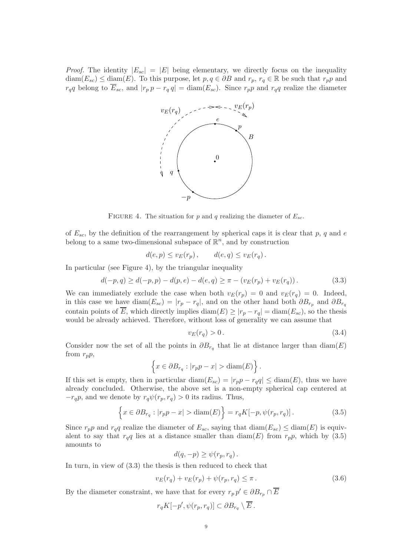*Proof.* The identity  $|E_{sc}| = |E|$  being elementary, we directly focus on the inequality  $diam(E_{sc}) \leq diam(E)$ . To this purpose, let  $p, q \in \partial B$  and  $r_p, r_q \in \mathbb{R}$  be such that  $r_p p$  and  $r_qq$  belong to  $\overline{E}_{sc}$ , and  $|r_p p - r_q q| = \text{diam}(E_{sc})$ . Since  $r_p p$  and  $r_q q$  realize the diameter



FIGURE 4. The situation for p and q realizing the diameter of  $E_{sc}$ .

of  $E_{sc}$ , by the definition of the rearrangement by spherical caps it is clear that p, q and e belong to a same two-dimensional subspace of  $\mathbb{R}^n$ , and by construction

$$
d(e, p) \le v_E(r_p), \qquad d(e, q) \le v_E(r_q).
$$

In particular (see Figure 4), by the triangular inequality

$$
d(-p,q) \ge d(-p,p) - d(p,e) - d(e,q) \ge \pi - (v_E(r_p) + v_E(r_q)).
$$
\n(3.3)

We can immediately exclude the case when both  $v_E(r_p) = 0$  and  $v_E(r_q) = 0$ . Indeed, in this case we have diam $(E_{sc}) = |r_p - r_q|$ , and on the other hand both  $\partial B_{r_p}$  and  $\partial B_{r_q}$ contain points of  $\overline{E}$ , which directly implies diam( $E \ge |r_p - r_q| = \text{diam}(E_{sc})$ , so the thesis would be already achieved. Therefore, without loss of generality we can assume that

$$
v_E(r_q) > 0. \tag{3.4}
$$

Consider now the set of all the points in  $\partial B_{r_q}$  that lie at distance larger than  $\text{diam}(E)$ from  $r_p p$ ,

$$
\left\{x \in \partial B_{r_q} : |r_p p - x| > \text{diam}(E)\right\}.
$$

If this set is empty, then in particular diam( $E_{sc}$ ) =  $|r_p p - r_q q| \leq \text{diam}(E)$ , thus we have already concluded. Otherwise, the above set is a non-empty spherical cap centered at  $-r_{q}p$ , and we denote by  $r_{q}\psi(r_{p}, r_{q}) > 0$  its radius. Thus,

$$
\left\{x \in \partial B_{r_q} : |r_p p - x| > \text{diam}(E)\right\} = r_q K[-p, \psi(r_p, r_q)].\tag{3.5}
$$

Since  $r_p p$  and  $r_q q$  realize the diameter of  $E_{sc}$ , saying that  $\text{diam}(E_{sc}) \leq \text{diam}(E)$  is equivalent to say that  $r_qq$  lies at a distance smaller than  $\text{diam}(E)$  from  $r_p p$ , which by (3.5) amounts to

$$
d(q,-p) \geq \psi(r_p,r_q).
$$

In turn, in view of (3.3) the thesis is then reduced to check that

$$
v_E(r_q) + v_E(r_p) + \psi(r_p, r_q) \le \pi.
$$
\n(3.6)

By the diameter constraint, we have that for every  $r_p p' \in \partial B_{r_p} \cap \overline{E}$ 

$$
r_q K[-p', \psi(r_p, r_q)] \subset \partial B_{r_q} \setminus \overline{E} .
$$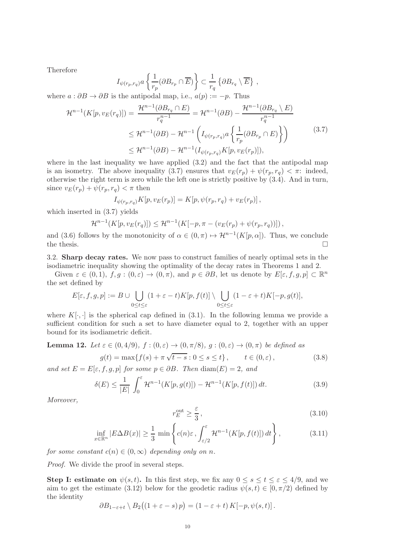Therefore

$$
I_{\psi(r_p,r_q)}a\left\{\frac{1}{r_p}(\partial B_{r_p}\cap \overline{E})\right\}\subset \frac{1}{r_q}\left\{\partial B_{r_q}\setminus \overline{E}\right\}\,,
$$

where  $a : \partial B \to \partial B$  is the antipodal map, i.e.,  $a(p) := -p$ . Thus

$$
\mathcal{H}^{n-1}(K[p, v_E(r_q)]) = \frac{\mathcal{H}^{n-1}(\partial B_{r_q} \cap E)}{r_q^{n-1}} = \mathcal{H}^{n-1}(\partial B) - \frac{\mathcal{H}^{n-1}(\partial B_{r_q} \setminus E)}{r_q^{n-1}}
$$
  

$$
\leq \mathcal{H}^{n-1}(\partial B) - \mathcal{H}^{n-1}\left(I_{\psi(r_p, r_q)} a\left\{\frac{1}{r_p}(\partial B_{r_p} \cap E)\right\}\right)
$$
  

$$
\leq \mathcal{H}^{n-1}(\partial B) - \mathcal{H}^{n-1}(I_{\psi(r_p, r_q)} K[p, v_E(r_p)]),
$$
\n(3.7)

where in the last inequality we have applied  $(3.2)$  and the fact that the antipodal map is an isometry. The above inequality (3.7) ensures that  $v_E(r_p) + \psi(r_p, r_q) < \pi$ : indeed, otherwise the right term is zero while the left one is strictly positive by (3.4). And in turn, since  $v_E(r_p) + \psi(r_p, r_q) < \pi$  then

$$
I_{\psi(r_p,r_q)}K[p, v_E(r_p)] = K[p, \psi(r_p,r_q) + v_E(r_p)],
$$

which inserted in (3.7) yields

$$
\mathcal{H}^{n-1}(K[p, v_E(r_q)]) \leq \mathcal{H}^{n-1}(K[-p, \pi - (v_E(r_p) + \psi(r_p, r_q))])
$$

and (3.6) follows by the monotonicity of  $\alpha \in (0, \pi) \mapsto \mathcal{H}^{n-1}(K[p, \alpha])$ . Thus, we conclude the thesis.  $\Box$ 

3.2. Sharp decay rates. We now pass to construct families of nearly optimal sets in the isodiametric inequality showing the optimality of the decay rates in Theorems 1 and 2.

Given  $\varepsilon \in (0,1)$ ,  $f, g:(0,\varepsilon) \to (0,\pi)$ , and  $p \in \partial B$ , let us denote by  $E[\varepsilon, f, g, p] \subset \mathbb{R}^n$ the set defined by

$$
E[\varepsilon, f, g, p] := B \cup \bigcup_{0 \le t \le \varepsilon} (1 + \varepsilon - t) K[p, f(t)] \setminus \bigcup_{0 \le t \le \varepsilon} (1 - \varepsilon + t) K[-p, g(t)],
$$

where  $K[\cdot, \cdot]$  is the spherical cap defined in (3.1). In the following lemma we provide a sufficient condition for such a set to have diameter equal to 2, together with an upper bound for its isodiametric deficit.

**Lemma 12.** Let 
$$
\varepsilon \in (0, 4/9)
$$
,  $f : (0, \varepsilon) \to (0, \pi/8)$ ,  $g : (0, \varepsilon) \to (0, \pi)$  be defined as  

$$
g(t) = \max\{f(s) + \pi\sqrt{t - s} : 0 \le s \le t\}, \qquad t \in (0, \varepsilon), \tag{3.8}
$$

*and set*  $E = E[\varepsilon, f, g, p]$  *for some*  $p \in \partial B$ *. Then* diam(E) = 2*, and* 

$$
\delta(E) \le \frac{1}{|E|} \int_0^{\varepsilon} \mathcal{H}^{n-1}(K[p, g(t)]) - \mathcal{H}^{n-1}(K[p, f(t)]) dt.
$$
 (3.9)

*Moreover,*

$$
r_E^{\text{out}} \ge \frac{\varepsilon}{3},\tag{3.10}
$$

$$
\inf_{x \in \mathbb{R}^n} |E \Delta B(x)| \ge \frac{1}{3} \min \left\{ c(n)\varepsilon \, , \int_{\varepsilon/2}^{\varepsilon} \mathcal{H}^{n-1}(K[p, f(t)]) \, dt \right\},\tag{3.11}
$$

*for some constant*  $c(n) \in (0, \infty)$  *depending only on n.* 

*Proof.* We divide the proof in several steps.

**Step I: estimate on**  $\psi(s,t)$ . In this first step, we fix any  $0 \le s \le t \le \varepsilon \le 4/9$ , and we aim to get the estimate (3.12) below for the geodetic radius  $\psi(s,t) \in [0,\pi/2)$  defined by the identity

$$
\partial B_{1-\varepsilon+t} \setminus B_2\big((1+\varepsilon-s)p\big) = (1-\varepsilon+t) K[-p,\psi(s,t)].
$$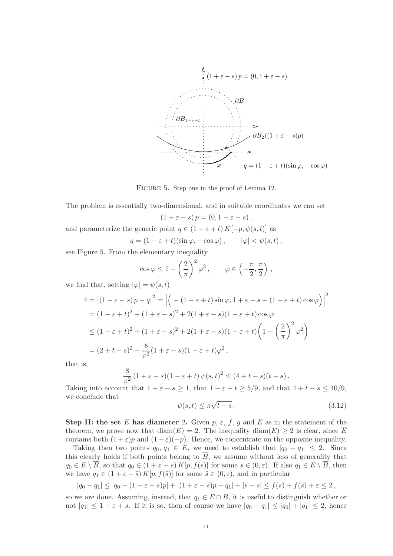

FIGURE 5. Step one in the proof of Lemma 12.

The problem is essentially two-dimensional, and in suitable coordinates we can set

$$
(1+\varepsilon-s)p=(0,1+\varepsilon-s),
$$

and parameterize the generic point  $q \in (1 - \varepsilon + t) K[-p, \psi(s, t)]$  as

$$
q = (1 - \varepsilon + t)(\sin \varphi, -\cos \varphi), \qquad |\varphi| < \psi(s, t),
$$

see Figure 5. From the elementary inequality

$$
\cos \varphi \le 1 - \left(\frac{2}{\pi}\right)^2 \varphi^2, \qquad \varphi \in \left(-\frac{\pi}{2}, \frac{\pi}{2}\right),
$$

we find that, setting  $|\varphi| = \psi(s, t)$ 

$$
4 = |(1 + \varepsilon - s)p - q|^2 = |(-(1 - \varepsilon + t)\sin\varphi, 1 + \varepsilon - s + (1 - \varepsilon + t)\cos\varphi)|^2
$$
  
=  $(1 - \varepsilon + t)^2 + (1 + \varepsilon - s)^2 + 2(1 + \varepsilon - s)(1 - \varepsilon + t)\cos\varphi$   

$$
\leq (1 - \varepsilon + t)^2 + (1 + \varepsilon - s)^2 + 2(1 + \varepsilon - s)(1 - \varepsilon + t)\left(1 - \left(\frac{2}{\pi}\right)^2 \varphi^2\right)
$$
  
=  $(2 + t - s)^2 - \frac{8}{\pi^2}(1 + \varepsilon - s)(1 - \varepsilon + t)\varphi^2$ ,

that is,

$$
\frac{8}{\pi^2} (1 + \varepsilon - s)(1 - \varepsilon + t) \psi(s, t)^2 \le (4 + t - s)(t - s).
$$

Taking into account that  $1 + \varepsilon - s \ge 1$ , that  $1 - \varepsilon + t \ge 5/9$ , and that  $4 + t - s \le 40/9$ , we conclude that

$$
\psi(s,t) \le \pi \sqrt{t-s} \,. \tag{3.12}
$$

Step II: the set E has diameter 2. Given  $p, \varepsilon, f, g$  and E as in the statement of the theorem, we prove now that  $\text{diam}(E) = 2$ . The inequality  $\text{diam}(E) \geq 2$  is clear, since  $\overline{E}$ contains both  $(1+\varepsilon)p$  and  $(1-\varepsilon)(-p)$ . Hence, we concentrate on the opposite inequality.

Taking then two points  $q_0, q_1 \in E$ , we need to establish that  $|q_0 - q_1| \leq 2$ . Since this clearly holds if both points belong to  $\overline{B}$ , we assume without loss of generality that  $q_0 \in E \setminus \overline{B}$ , so that  $q_0 \in (1 + \varepsilon - s) K[p, f(s)]$  for some  $s \in (0, \varepsilon)$ . If also  $q_1 \in E \setminus \overline{B}$ , then we have  $q_1 \in (1 + \varepsilon - \tilde{s}) K[p, f(\tilde{s})]$  for some  $\tilde{s} \in (0, \varepsilon)$ , and in particular

$$
|q_0 - q_1| \le |q_0 - (1 + \varepsilon - s)p| + |(1 + \varepsilon - \tilde{s})p - q_1| + |\tilde{s} - s| \le f(s) + f(\tilde{s}) + \varepsilon \le 2,
$$

so we are done. Assuming, instead, that  $q_1 \in E \cap B$ , it is useful to distinguish whether or not  $|q_1| \leq 1 - \varepsilon + s$ . If it is so, then of course we have  $|q_0 - q_1| \leq |q_0| + |q_1| \leq 2$ , hence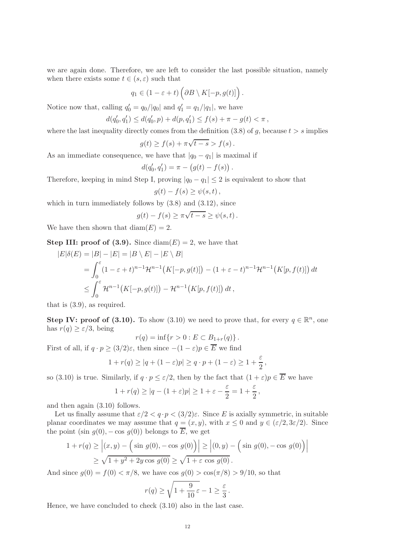we are again done. Therefore, we are left to consider the last possible situation, namely when there exists some  $t \in (s, \varepsilon)$  such that

$$
q_1 \in (1 - \varepsilon + t) \left( \partial B \setminus K[-p, g(t)] \right).
$$

Notice now that, calling  $q'_0 = q_0/|q_0|$  and  $q'_1 = q_1/|q_1|$ , we have

$$
d(q_0',q_1')\leq d(q_0',p)+d(p,q_1')\leq f(s)+\pi-g(t)<\pi\,,
$$

where the last inequality directly comes from the definition  $(3.8)$  of q, because  $t > s$  implies

$$
g(t) \ge f(s) + \pi \sqrt{t - s} > f(s).
$$

As an immediate consequence, we have that  $|q_0 - q_1|$  is maximal if

$$
d(q'_0, q'_1) = \pi - (g(t) - f(s)).
$$

Therefore, keeping in mind Step I, proving  $|q_0 - q_1| \leq 2$  is equivalent to show that

$$
g(t) - f(s) \ge \psi(s, t) \,,
$$

which in turn immediately follows by (3.8) and (3.12), since

$$
g(t) - f(s) \ge \pi \sqrt{t - s} \ge \psi(s, t).
$$

We have then shown that  $\text{diam}(E) = 2$ .

**Step III: proof of (3.9).** Since  $\text{diam}(E) = 2$ , we have that

$$
|E|\delta(E) = |B| - |E| = |B \setminus E| - |E \setminus B|
$$
  
=  $\int_0^{\epsilon} (1 - \epsilon + t)^{n-1} \mathcal{H}^{n-1}(K[-p, g(t)]) - (1 + \epsilon - t)^{n-1} \mathcal{H}^{n-1}(K[p, f(t)]) dt$   
 $\leq \int_0^{\epsilon} \mathcal{H}^{n-1}(K[-p, g(t)]) - \mathcal{H}^{n-1}(K[p, f(t)]) dt,$ 

that is (3.9), as required.

Step IV: proof of (3.10). To show (3.10) we need to prove that, for every  $q \in \mathbb{R}^n$ , one has  $r(q) \geq \varepsilon/3$ , being

$$
r(q) = \inf\{r > 0 : E \subset B_{1+r}(q)\}.
$$

First of all, if  $q \cdot p \geq (3/2)\varepsilon$ , then since  $-(1 - \varepsilon)p \in E$  we find

$$
1 + r(q) \ge |q| + (1 - \varepsilon)p| \ge q \cdot p + (1 - \varepsilon) \ge 1 + \frac{\varepsilon}{2},
$$

so (3.10) is true. Similarly, if  $q \cdot p \leq \varepsilon/2$ , then by the fact that  $(1 + \varepsilon)p \in E$  we have

$$
1 + r(q) \ge |q - (1 + \varepsilon)p| \ge 1 + \varepsilon - \frac{\varepsilon}{2} = 1 + \frac{\varepsilon}{2},
$$

and then again (3.10) follows.

Let us finally assume that  $\varepsilon/2 < q \cdot p < (3/2)\varepsilon$ . Since E is axially symmetric, in suitable planar coordinates we may assume that  $q = (x, y)$ , with  $x \le 0$  and  $y \in (\varepsilon/2, 3\varepsilon/2)$ . Since the point (sin  $q(0)$ , – cos  $q(0)$ ) belongs to  $\overline{E}$ , we get

$$
1 + r(q) \ge |(x, y) - (\sin g(0), -\cos g(0))| \ge |(0, y) - (\sin g(0), -\cos g(0))|
$$
  
 
$$
\ge \sqrt{1 + y^2 + 2y \cos g(0)} \ge \sqrt{1 + \varepsilon \cos g(0)}.
$$

And since  $q(0) = f(0) < \pi/8$ , we have cos  $q(0) > \cos(\pi/8) > 9/10$ , so that

$$
r(q) \ge \sqrt{1 + \frac{9}{10}\varepsilon} - 1 \ge \frac{\varepsilon}{3}.
$$

Hence, we have concluded to check (3.10) also in the last case.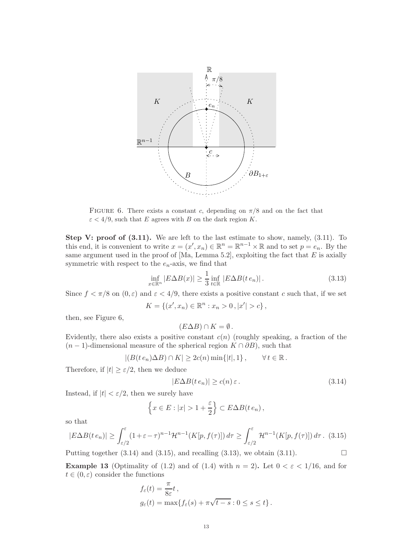

FIGURE 6. There exists a constant c, depending on  $\pi/8$  and on the fact that  $\varepsilon < 4/9$ , such that E agrees with B on the dark region K.

Step V: proof of  $(3.11)$ . We are left to the last estimate to show, namely,  $(3.11)$ . To this end, it is convenient to write  $x = (x', x_n) \in \mathbb{R}^n = \mathbb{R}^{n-1} \times \mathbb{R}$  and to set  $p = e_n$ . By the same argument used in the proof of  $[Ma, Lemma 5.2]$ , exploiting the fact that E is axially symmetric with respect to the  $e_n$ -axis, we find that

$$
\inf_{x \in \mathbb{R}^n} |E \Delta B(x)| \ge \frac{1}{3} \inf_{t \in \mathbb{R}} |E \Delta B(t e_n)|. \tag{3.13}
$$

Since  $f < \pi/8$  on  $(0, \varepsilon)$  and  $\varepsilon < 4/9$ , there exists a positive constant c such that, if we set

$$
K = \{(x', x_n) \in \mathbb{R}^n : x_n > 0, |x'| > c\},\
$$

then, see Figure 6,

$$
(E \Delta B) \cap K = \emptyset.
$$

Evidently, there also exists a positive constant  $c(n)$  (roughly speaking, a fraction of the  $(n-1)$ -dimensional measure of the spherical region  $K \cap \partial B$ ), such that

$$
|(B(t e_n)\Delta B)\cap K|\geq 2c(n)\min\{|t|,1\}\,,\qquad\forall\,t\in\mathbb{R}\,.
$$

Therefore, if  $|t| \geq \varepsilon/2$ , then we deduce

$$
|E\Delta B(t e_n)| \ge c(n)\,\varepsilon\,. \tag{3.14}
$$

Instead, if  $|t| < \varepsilon/2$ , then we surely have

$$
\left\{x \in E : |x| > 1 + \frac{\varepsilon}{2}\right\} \subset E \Delta B(t e_n),
$$

so that

$$
|E\Delta B(te_n)| \geq \int_{\varepsilon/2}^{\varepsilon} (1+\varepsilon-\tau)^{n-1} \mathcal{H}^{n-1}(K[p,f(\tau)]) d\tau \geq \int_{\varepsilon/2}^{\varepsilon} \mathcal{H}^{n-1}(K[p,f(\tau)]) d\tau. \tag{3.15}
$$

Putting together  $(3.14)$  and  $(3.15)$ , and recalling  $(3.13)$ , we obtain  $(3.11)$ .

**Example 13** (Optimality of (1.2) and of (1.4) with  $n = 2$ ). Let  $0 < \varepsilon < 1/16$ , and for  $t \in (0, \varepsilon)$  consider the functions

$$
f_{\varepsilon}(t) = \frac{\pi}{8\varepsilon}t,
$$
  
\n
$$
g_{\varepsilon}(t) = \max\{f_{\varepsilon}(s) + \pi\sqrt{t-s} : 0 \le s \le t\}.
$$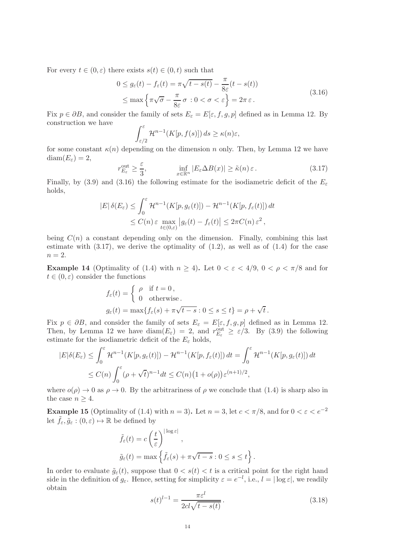For every  $t \in (0, \varepsilon)$  there exists  $s(t) \in (0, t)$  such that

$$
0 \le g_{\varepsilon}(t) - f_{\varepsilon}(t) = \pi \sqrt{t - s(t)} - \frac{\pi}{8\varepsilon}(t - s(t))
$$
  

$$
\le \max \left\{ \pi \sqrt{\sigma} - \frac{\pi}{8\varepsilon} \sigma : 0 < \sigma < \varepsilon \right\} = 2\pi \varepsilon.
$$
 (3.16)

Fix  $p \in \partial B$ , and consider the family of sets  $E_{\varepsilon} = E[\varepsilon, f, g, p]$  defined as in Lemma 12. By construction we have

$$
\int_{\varepsilon/2}^{\varepsilon} \mathcal{H}^{n-1}(K[p, f(s)]) ds \geq \kappa(n)\varepsilon,
$$

for some constant  $\kappa(n)$  depending on the dimension n only. Then, by Lemma 12 we have  $diam(E_{\varepsilon})=2,$ 

$$
r_{E_{\varepsilon}}^{\text{out}} \ge \frac{\varepsilon}{3}, \qquad \inf_{x \in \mathbb{R}^n} |E_{\varepsilon} \Delta B(x)| \ge \tilde{\kappa}(n) \,\varepsilon. \tag{3.17}
$$

Finally, by (3.9) and (3.16) the following estimate for the isodiametric deficit of the  $E_{\varepsilon}$ holds,

$$
|E|\delta(E_{\varepsilon}) \leq \int_0^{\varepsilon} \mathcal{H}^{n-1}(K[p, g_{\varepsilon}(t)]) - \mathcal{H}^{n-1}(K[p, f_{\varepsilon}(t)]) dt
$$
  

$$
\leq C(n) \varepsilon \max_{t \in (0,\varepsilon)} |g_{\varepsilon}(t) - f_{\varepsilon}(t)| \leq 2\pi C(n) \varepsilon^2,
$$

being  $C(n)$  a constant depending only on the dimension. Finally, combining this last estimate with  $(3.17)$ , we derive the optimality of  $(1.2)$ , as well as of  $(1.4)$  for the case  $n = 2$ .

Example 14 (Optimality of (1.4) with  $n \ge 4$ ). Let  $0 < \varepsilon < 4/9$ ,  $0 < \rho < \pi/8$  and for  $t \in (0, \varepsilon)$  consider the functions

$$
f_{\varepsilon}(t) = \begin{cases} \rho & \text{if } t = 0, \\ 0 & \text{otherwise.} \end{cases}
$$

$$
g_{\varepsilon}(t) = \max\{f_{\varepsilon}(s) + \pi\sqrt{t - s} : 0 \le s \le t\} = \rho + \sqrt{t}.
$$

Fix  $p \in \partial B$ , and consider the family of sets  $E_{\varepsilon} = E[\varepsilon, f, g, p]$  defined as in Lemma 12. Then, by Lemma 12 we have  $\text{diam}(E_{\varepsilon}) = 2$ , and  $r_{E_{\varepsilon}}^{\text{out}} \geq \varepsilon/3$ . By (3.9) the following estimate for the isodiametric deficit of the  $E_{\varepsilon}$  holds,

$$
|E|\delta(E_{\varepsilon}) \leq \int_0^{\varepsilon} \mathcal{H}^{n-1}(K[p, g_{\varepsilon}(t)]) - \mathcal{H}^{n-1}(K[p, f_{\varepsilon}(t)]) dt = \int_0^{\varepsilon} \mathcal{H}^{n-1}(K[p, g_{\varepsilon}(t)]) dt
$$
  

$$
\leq C(n) \int_0^{\varepsilon} (\rho + \sqrt{t})^{n-1} dt \leq C(n) (1 + o(\rho)) \varepsilon^{(n+1)/2},
$$

where  $o(\rho) \to 0$  as  $\rho \to 0$ . By the arbitrariness of  $\rho$  we conclude that (1.4) is sharp also in the case  $n \geq 4$ .

**Example 15** (Optimality of (1.4) with  $n = 3$ ). Let  $n = 3$ , let  $c < \pi/8$ , and for  $0 < \varepsilon < e^{-2}$ let  $f_{\varepsilon}, \tilde{g}_{\varepsilon} : (0, \varepsilon) \mapsto \mathbb{R}$  be defined by

$$
\tilde{f}_{\varepsilon}(t) = c \left(\frac{t}{\varepsilon}\right)^{|\log \varepsilon|},
$$
  

$$
\tilde{g}_{\varepsilon}(t) = \max \left\{ \tilde{f}_{\varepsilon}(s) + \pi \sqrt{t - s} : 0 \le s \le t \right\}.
$$

In order to evaluate  $\tilde{g}_{\varepsilon}(t)$ , suppose that  $0 < s(t) < t$  is a critical point for the right hand side in the definition of  $g_{\varepsilon}$ . Hence, setting for simplicity  $\varepsilon = e^{-l}$ , i.e.,  $l = |\log \varepsilon|$ , we readily obtain

$$
s(t)^{l-1} = \frac{\pi \varepsilon^l}{2cl\sqrt{t - s(t)}}.
$$
\n(3.18)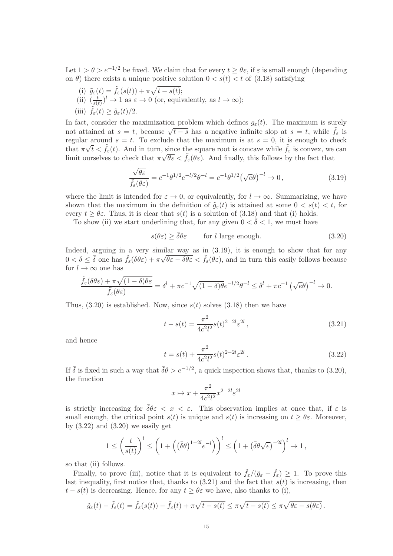Let  $1 > \theta > e^{-1/2}$  be fixed. We claim that for every  $t \ge \theta \varepsilon$ , if  $\varepsilon$  is small enough (depending on  $\theta$ ) there exists a unique positive solution  $0 < s(t) < t$  of (3.18) satisfying

- (i)  $\tilde{g}_{\varepsilon}(t) = \tilde{f}_{\varepsilon}(s(t)) + \pi \sqrt{t s(t)};$
- (ii)  $\left(\frac{t}{s(t)}\right)^l \to 1$  as  $\varepsilon \to 0$  (or, equivalently, as  $l \to \infty$ );
- (iii)  $f_{\varepsilon}(t) \geq \tilde{g}_{\varepsilon}(t)/2$ .

In fact, consider the maximization problem which defines  $g_{\varepsilon}(t)$ . The maximum is surely not attained at  $s = t$ , because  $\sqrt{t-s}$  has a negative infinite slop at  $s = t$ , while  $\tilde{f}_{\varepsilon}$  is regular around  $s = t$ . To exclude that the maximum is at  $s = 0$ , it is enough to check that  $\pi \sqrt{t} < \tilde{f}_{\varepsilon}(t)$ . And in turn, since the square root is concave while  $\tilde{f}_{\varepsilon}$  is convex, we can limit ourselves to check that  $\pi\sqrt{\theta\varepsilon} < \tilde{f}_\varepsilon(\theta\varepsilon)$ . And finally, this follows by the fact that

$$
\frac{\sqrt{\theta \varepsilon}}{\tilde{f}_{\varepsilon}(\theta \varepsilon)} = c^{-1} \theta^{1/2} e^{-l/2} \theta^{-l} = c^{-1} \theta^{1/2} (\sqrt{e} \theta)^{-l} \to 0, \qquad (3.19)
$$

where the limit is intended for  $\varepsilon \to 0$ , or equivalently, for  $l \to \infty$ . Summarizing, we have shown that the maximum in the definition of  $\tilde{q}_{\varepsilon}(t)$  is attained at some  $0 < s(t) < t$ , for every  $t \geq \theta \varepsilon$ . Thus, it is clear that  $s(t)$  is a solution of (3.18) and that (i) holds.

To show (ii) we start underlining that, for any given  $0 < \bar{\delta} < 1$ , we must have

$$
s(\theta \varepsilon) \ge \bar{\delta}\theta\varepsilon \qquad \text{for } l \text{ large enough.} \tag{3.20}
$$

Indeed, arguing in a very similar way as in  $(3.19)$ , it is enough to show that for any  $0 < \delta \leq \bar{\delta}$  one has  $\tilde{f}_{\varepsilon}(\delta \theta \varepsilon) + \pi \sqrt{\theta \varepsilon - \delta \theta \varepsilon} < \tilde{f}_{\varepsilon}(\theta \varepsilon)$ , and in turn this easily follows because for  $l \to \infty$  one has

$$
\frac{\tilde{f}_{\varepsilon}(\delta\theta\varepsilon) + \pi\sqrt{(1-\delta)\theta\varepsilon}}{\tilde{f}_{\varepsilon}(\theta\varepsilon)} = \delta^l + \pi c^{-1}\sqrt{(1-\delta)\theta}e^{-l/2}\theta^{-l} \leq \bar{\delta}^l + \pi c^{-1}\left(\sqrt{e}\theta\right)^{-l} \to 0.
$$

Thus,  $(3.20)$  is established. Now, since  $s(t)$  solves  $(3.18)$  then we have

$$
t - s(t) = \frac{\pi^2}{4c^2 l^2} s(t)^{2-2l} \varepsilon^{2l} , \qquad (3.21)
$$

and hence

$$
t = s(t) + \frac{\pi^2}{4c^2 l^2} s(t)^{2-2l} \varepsilon^{2l}.
$$
 (3.22)

If  $\bar{\delta}$  is fixed in such a way that  $\bar{\delta}\theta > e^{-1/2}$ , a quick inspection shows that, thanks to (3.20), the function

$$
x \mapsto x + \frac{\pi^2}{4c^2l^2} x^{2-2l} \varepsilon^{2l}
$$

is strictly increasing for  $\bar{\delta}\theta \varepsilon < x < \varepsilon$ . This observation implies at once that, if  $\varepsilon$  is small enough, the critical point  $s(t)$  is unique and  $s(t)$  is increasing on  $t > \theta \varepsilon$ . Moreover, by  $(3.22)$  and  $(3.20)$  we easily get

$$
1 \leq \left(\frac{t}{s(t)}\right)^l \leq \left(1 + \left(\left(\overline{\delta}\theta\right)^{1-2l}e^{-l}\right)\right)^l \leq \left(1 + \left(\overline{\delta}\theta\sqrt{e}\right)^{-2l}\right)^l \to 1,
$$

so that (ii) follows.

Finally, to prove (iii), notice that it is equivalent to  $\tilde{f}_{\varepsilon}/(\tilde{g}_{\varepsilon}-\tilde{f}_{\varepsilon})\geq 1$ . To prove this last inequality, first notice that, thanks to  $(3.21)$  and the fact that  $s(t)$  is increasing, then  $t - s(t)$  is decreasing. Hence, for any  $t \geq \theta \varepsilon$  we have, also thanks to (i),

$$
\tilde{g}_{\varepsilon}(t)-\tilde{f}_{\varepsilon}(t)=\tilde{f}_{\varepsilon}(s(t))-\tilde{f}_{\varepsilon}(t)+\pi\sqrt{t-s(t)}\leq \pi\sqrt{t-s(t)}\leq \pi\sqrt{\theta\varepsilon-s(\theta\varepsilon)}.
$$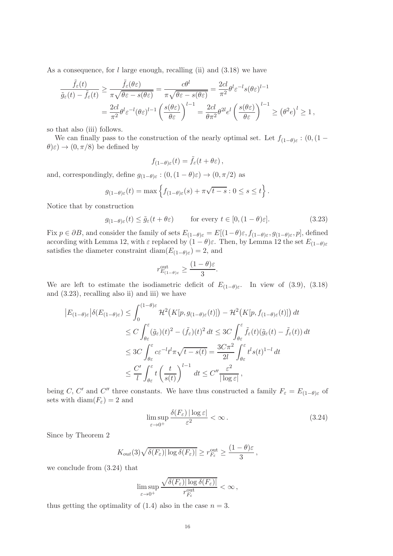As a consequence, for  $l$  large enough, recalling (ii) and  $(3.18)$  we have

$$
\frac{\tilde{f}_{\varepsilon}(t)}{\tilde{g}_{\varepsilon}(t) - \tilde{f}_{\varepsilon}(t)} \ge \frac{\tilde{f}_{\varepsilon}(\theta \varepsilon)}{\pi \sqrt{\theta \varepsilon - s(\theta \varepsilon)}} = \frac{c\theta^{l}}{\pi \sqrt{\theta \varepsilon - s(\theta \varepsilon)}} = \frac{2cl}{\pi^{2}} \theta^{l} \varepsilon^{-l} s(\theta \varepsilon)^{l-1}
$$
\n
$$
= \frac{2cl}{\pi^{2}} \theta^{l} \varepsilon^{-l} (\theta \varepsilon)^{l-1} \left(\frac{s(\theta \varepsilon)}{\theta \varepsilon}\right)^{l-1} = \frac{2cl}{\theta \pi^{2}} \theta^{2l} e^{l} \left(\frac{s(\theta \varepsilon)}{\theta \varepsilon}\right)^{l-1} \ge (\theta^{2} e)^{l} \ge 1,
$$

so that also (iii) follows.

We can finally pass to the construction of the nearly optimal set. Let  $f_{(1-\theta)\varepsilon}$ :  $(0, (1-\theta)\varepsilon)$  $(\theta)\varepsilon) \rightarrow (0, \pi/8)$  be defined by

$$
f_{(1-\theta)\varepsilon}(t) = \tilde{f}_{\varepsilon}(t+\theta\varepsilon) \,,
$$

and, correspondingly, define  $g_{(1-\theta)\varepsilon} : (0, (1-\theta)\varepsilon) \to (0, \pi/2)$  as

$$
g_{(1-\theta)\varepsilon}(t) = \max \left\{ f_{(1-\theta)\varepsilon}(s) + \pi\sqrt{t-s} : 0 \le s \le t \right\}.
$$

Notice that by construction

$$
g_{(1-\theta)\varepsilon}(t) \le \tilde{g}_{\varepsilon}(t+\theta\varepsilon) \qquad \text{for every } t \in [0, (1-\theta)\varepsilon]. \tag{3.23}
$$

Fix  $p \in \partial B$ , and consider the family of sets  $E_{(1-\theta)\varepsilon} = E[(1-\theta)\varepsilon, f_{(1-\theta)\varepsilon}, g_{(1-\theta)\varepsilon}, p]$ , defined according with Lemma 12, with  $\varepsilon$  replaced by  $(1 - \theta)\varepsilon$ . Then, by Lemma 12 the set  $E_{(1-\theta)\varepsilon}$ satisfies the diameter constraint diam $(E_{(1-\theta)\varepsilon})=2$ , and

$$
r_{E_{(1-\theta)\varepsilon}}^{\text{out}} \ge \frac{(1-\theta)\varepsilon}{3}.
$$

We are left to estimate the isodiametric deficit of  $E_{(1-\theta)\varepsilon}$ . In view of (3.9), (3.18) and (3.23), recalling also ii) and iii) we have

$$
|E_{(1-\theta)\varepsilon}|\delta(E_{(1-\theta)\varepsilon}) \leq \int_0^{(1-\theta)\varepsilon} \mathcal{H}^2\big(K[p, g_{(1-\theta)\varepsilon}(t)]\big) - \mathcal{H}^2\big(K[p, f_{(1-\theta)\varepsilon}(t)]\big) dt
$$
  
\n
$$
\leq C \int_{\theta\varepsilon}^{\varepsilon} (\tilde{g}_{\varepsilon})(t)^2 - (\tilde{f}_{\varepsilon})(t)^2 dt \leq 3C \int_{\theta\varepsilon}^{\varepsilon} \tilde{f}_{\varepsilon}(t)(\tilde{g}_{\varepsilon}(t) - \tilde{f}_{\varepsilon}(t)) dt
$$
  
\n
$$
\leq 3C \int_{\theta\varepsilon}^{\varepsilon} c\varepsilon^{-l} t^l \pi \sqrt{t - s(t)} = \frac{3C\pi^2}{2l} \int_{\theta\varepsilon}^{\varepsilon} t^l s(t)^{1-l} dt
$$
  
\n
$$
\leq \frac{C'}{l} \int_{\theta\varepsilon}^{\varepsilon} t \left(\frac{t}{s(t)}\right)^{l-1} dt \leq C'' \frac{\varepsilon^2}{|\log\varepsilon|},
$$

being C, C' and C'' three constants. We have thus constructed a family  $F_{\varepsilon} = E_{(1-\theta)\varepsilon}$  of sets with diam( $F_{\varepsilon}$ ) = 2 and

$$
\limsup_{\varepsilon \to 0^+} \frac{\delta(F_{\varepsilon}) |\log \varepsilon|}{\varepsilon^2} < \infty. \tag{3.24}
$$

Since by Theorem 2

$$
K_{out}(3)\sqrt{\delta(F_{\varepsilon})|\log \delta(F_{\varepsilon})|} \ge r_{F_{\varepsilon}}^{\text{out}} \ge \frac{(1-\theta)\varepsilon}{3}
$$
,

we conclude from (3.24) that

$$
\limsup_{\varepsilon \to 0^+} \frac{\sqrt{\delta(F_{\varepsilon}) |\log \delta(F_{\varepsilon})|}}{r_{F_{\varepsilon}}^{\rm out}} < \infty,
$$

thus getting the optimality of  $(1.4)$  also in the case  $n = 3$ .